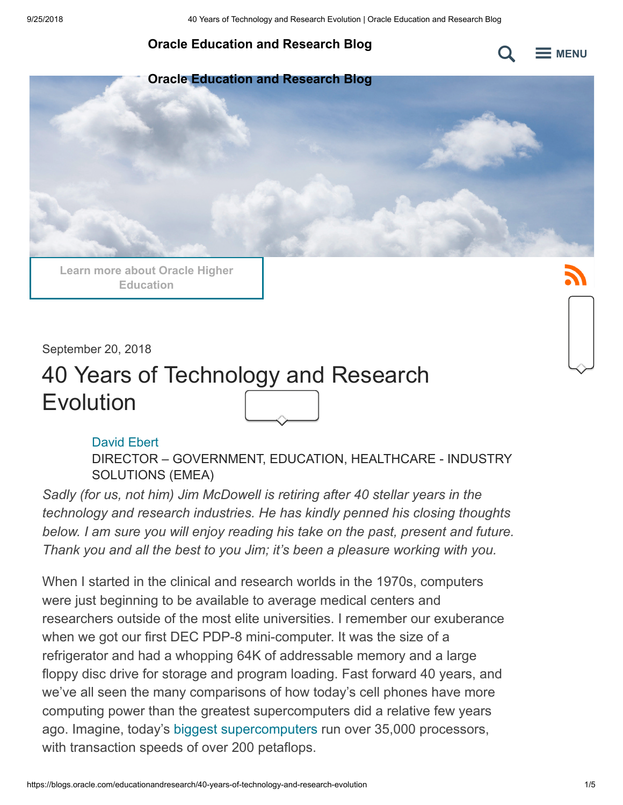#### **[Oracle Education and Research Blog](https://blogs.oracle.com/educationandresearch)**



**[Oracle Education and Research Blog](https://blogs.oracle.com/educationandresearch)**

**[Learn more about Oracle Higher](https://www.oracle.com/industries/higher-education/index.html) Education**

September 20, 2018

# 40 Years of Technology and Research Evolution

#### [David Ebert](https://blogs.oracle.com/author/c60f1a72-ae46-4ca3-a7c1-5e3409eb4398)

DIRECTOR – GOVERNMENT, EDUCATION, HEALTHCARE - INDUSTRY SOLUTIONS (EMEA)

*Sadly (for us, not him) Jim McDowell is retiring after 40 stellar years in the technology and research industries. He has kindly penned his closing thoughts below. I am sure you will enjoy reading his take on the past, present and future. Thank you and all the best to you Jim; it's been a pleasure working with you.*

When I started in the clinical and research worlds in the 1970s, computers were just beginning to be available to average medical centers and researchers outside of the most elite universities. I remember our exuberance when we got our first DEC PDP-8 mini-computer. It was the size of a refrigerator and had a whopping 64K of addressable memory and a large floppy disc drive for storage and program loading. Fast forward 40 years, and we've all seen the many comparisons of how today's cell phones have more computing power than the greatest supercomputers did a relative few years ago. Imagine, today's [biggest supercomputers](https://www.ornl.gov/news/ornl-launches-summit-supercomputer) run over 35,000 processors, with transaction speeds of over 200 petaflops.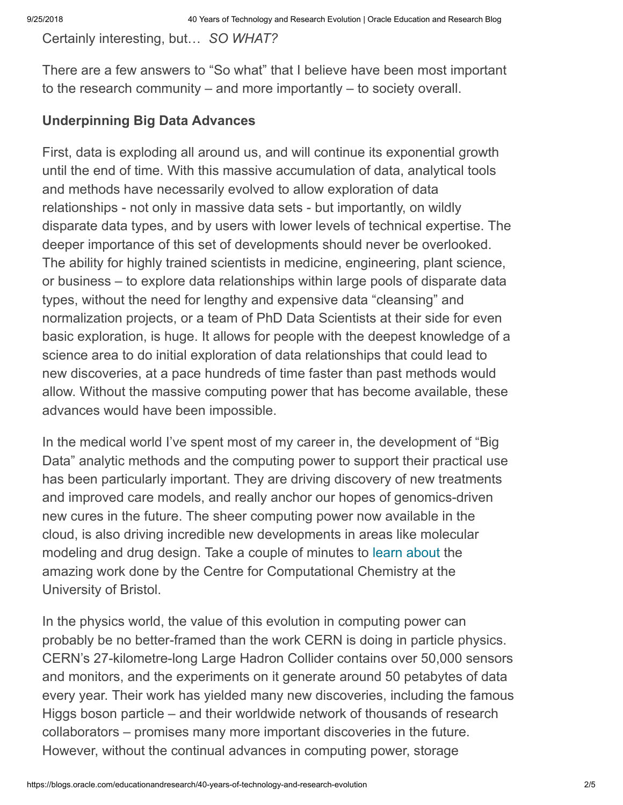Certainly interesting, but… *SO WHAT?*

There are a few answers to "So what" that I believe have been most important to the research community – and more importantly – to society overall.

#### **Underpinning Big Data Advances**

First, data is exploding all around us, and will continue its exponential growth until the end of time. With this massive accumulation of data, analytical tools and methods have necessarily evolved to allow exploration of data relationships - not only in massive data sets - but importantly, on wildly disparate data types, and by users with lower levels of technical expertise. The deeper importance of this set of developments should never be overlooked. The ability for highly trained scientists in medicine, engineering, plant science, or business – to explore data relationships within large pools of disparate data types, without the need for lengthy and expensive data "cleansing" and normalization projects, or a team of PhD Data Scientists at their side for even basic exploration, is huge. It allows for people with the deepest knowledge of a science area to do initial exploration of data relationships that could lead to new discoveries, at a pace hundreds of time faster than past methods would allow. Without the massive computing power that has become available, these advances would have been impossible.

In the medical world I've spent most of my career in, the development of "Big Data" analytic methods and the computing power to support their practical use has been particularly important. They are driving discovery of new treatments and improved care models, and really anchor our hopes of genomics-driven new cures in the future. The sheer computing power now available in the cloud, is also driving incredible new developments in areas like molecular modeling and drug design. Take a couple of minutes to [learn about](https://www.forbes.com/sites/oracle/2018/07/25/how-virtual-reality-can-change-the-way-we-see-our-world/#4197d872bf60) the amazing work done by the Centre for Computational Chemistry at the University of Bristol.

In the physics world, the value of this evolution in computing power can probably be no better-framed than the work CERN is doing in particle physics. CERN's 27-kilometre-long Large Hadron Collider contains over 50,000 sensors and monitors, and the experiments on it generate around 50 petabytes of data every year. Their work has yielded many new discoveries, including the famous Higgs boson particle – and their worldwide network of thousands of research collaborators – promises many more important discoveries in the future. However, without the continual advances in computing power, storage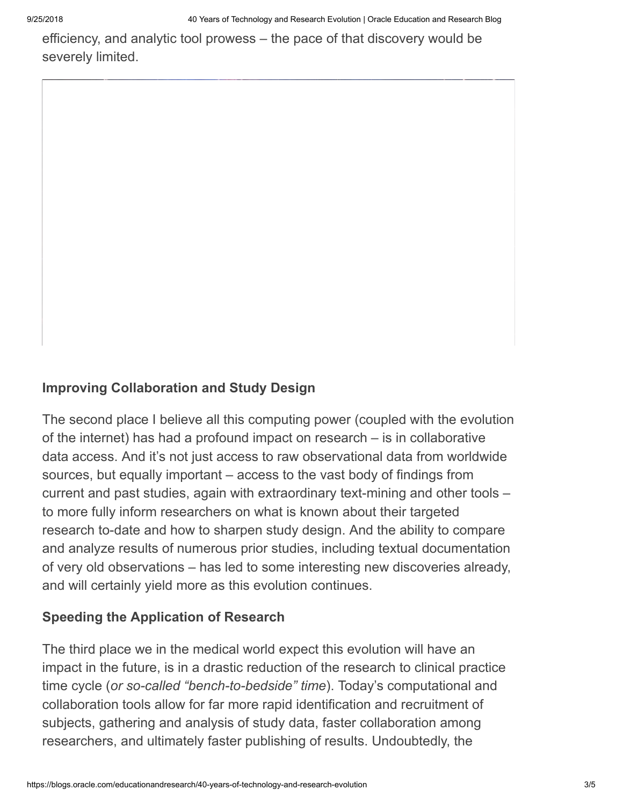efficiency, and analytic tool prowess – the pace of that discovery would be severely limited.

### **Improving Collaboration and Study Design**

The second place I believe all this computing power (coupled with the evolution of the internet) has had a profound impact on research – is in collaborative data access. And it's not just access to raw observational data from worldwide sources, but equally important – access to the vast body of findings from current and past studies, again with extraordinary text-mining and other tools – to more fully inform researchers on what is known about their targeted research to-date and how to sharpen study design. And the ability to compare and analyze results of numerous prior studies, including textual documentation of very old observations – has led to some interesting new discoveries already, and will certainly yield more as this evolution continues.

### **Speeding the Application of Research**

The third place we in the medical world expect this evolution will have an impact in the future, is in a drastic reduction of the research to clinical practice time cycle (*or so-called "bench-to-bedside" time*). Today's computational and collaboration tools allow for far more rapid identification and recruitment of subjects, gathering and analysis of study data, faster collaboration among researchers, and ultimately faster publishing of results. Undoubtedly, the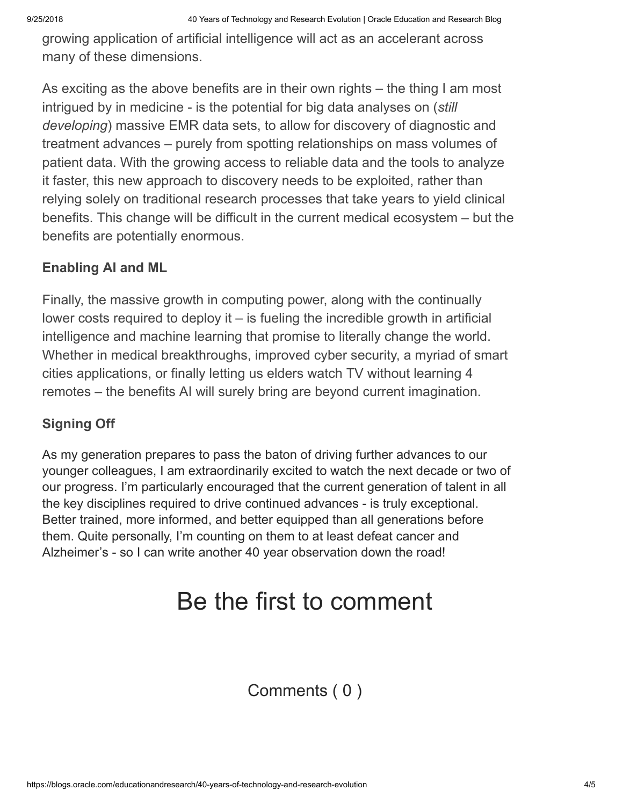growing application of artificial intelligence will act as an accelerant across many of these dimensions.

As exciting as the above benefits are in their own rights – the thing I am most intrigued by in medicine - is the potential for big data analyses on (*still developing*) massive EMR data sets, to allow for discovery of diagnostic and treatment advances – purely from spotting relationships on mass volumes of patient data. With the growing access to reliable data and the tools to analyze it faster, this new approach to discovery needs to be exploited, rather than relying solely on traditional research processes that take years to yield clinical benefits. This change will be difficult in the current medical ecosystem – but the benefits are potentially enormous.

#### **Enabling AI and ML**

Finally, the massive growth in computing power, along with the continually lower costs required to deploy it – is fueling the incredible growth in artificial intelligence and machine learning that promise to literally change the world. Whether in medical breakthroughs, improved cyber security, a myriad of smart cities applications, or finally letting us elders watch TV without learning 4 remotes – the benefits AI will surely bring are beyond current imagination.

#### **Signing Off**

As my generation prepares to pass the baton of driving further advances to our younger colleagues, I am extraordinarily excited to watch the next decade or two of our progress. I'm particularly encouraged that the current generation of talent in all the key disciplines required to drive continued advances - is truly exceptional. Better trained, more informed, and better equipped than all generations before them. Quite personally, I'm counting on them to at least defeat cancer and Alzheimer's - so I can write another 40 year observation down the road!

## Be the first to comment

Comments ( 0 )